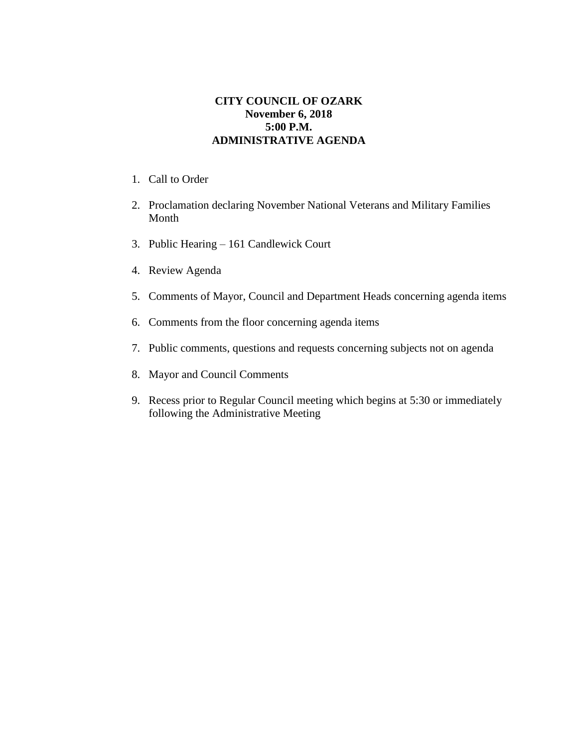## **CITY COUNCIL OF OZARK November 6, 2018 5:00 P.M. ADMINISTRATIVE AGENDA**

- 1. Call to Order
- 2. Proclamation declaring November National Veterans and Military Families Month
- 3. Public Hearing 161 Candlewick Court
- 4. Review Agenda
- 5. Comments of Mayor, Council and Department Heads concerning agenda items
- 6. Comments from the floor concerning agenda items
- 7. Public comments, questions and requests concerning subjects not on agenda
- 8. Mayor and Council Comments
- 9. Recess prior to Regular Council meeting which begins at 5:30 or immediately following the Administrative Meeting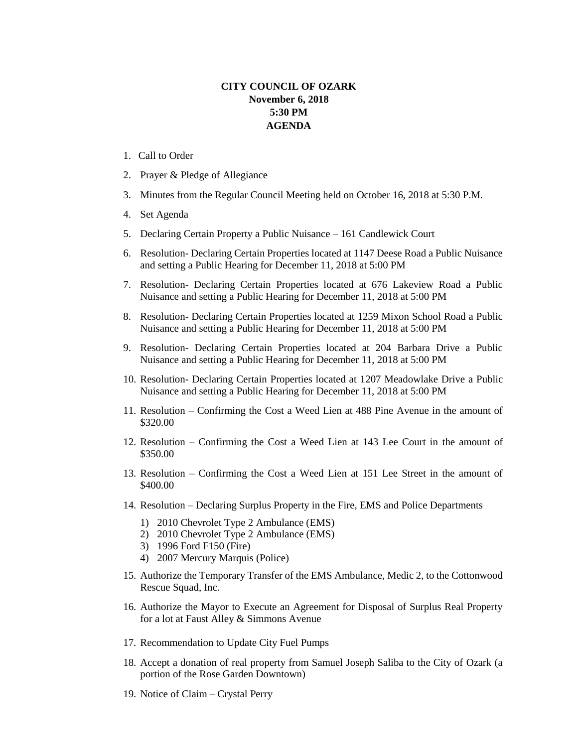## **CITY COUNCIL OF OZARK November 6, 2018 5:30 PM AGENDA**

- 1. Call to Order
- 2. Prayer & Pledge of Allegiance
- 3. Minutes from the Regular Council Meeting held on October 16, 2018 at 5:30 P.M.
- 4. Set Agenda
- 5. Declaring Certain Property a Public Nuisance 161 Candlewick Court
- 6. Resolution- Declaring Certain Properties located at 1147 Deese Road a Public Nuisance and setting a Public Hearing for December 11, 2018 at 5:00 PM
- 7. Resolution- Declaring Certain Properties located at 676 Lakeview Road a Public Nuisance and setting a Public Hearing for December 11, 2018 at 5:00 PM
- 8. Resolution- Declaring Certain Properties located at 1259 Mixon School Road a Public Nuisance and setting a Public Hearing for December 11, 2018 at 5:00 PM
- 9. Resolution- Declaring Certain Properties located at 204 Barbara Drive a Public Nuisance and setting a Public Hearing for December 11, 2018 at 5:00 PM
- 10. Resolution- Declaring Certain Properties located at 1207 Meadowlake Drive a Public Nuisance and setting a Public Hearing for December 11, 2018 at 5:00 PM
- 11. Resolution Confirming the Cost a Weed Lien at 488 Pine Avenue in the amount of \$320.00
- 12. Resolution Confirming the Cost a Weed Lien at 143 Lee Court in the amount of \$350.00
- 13. Resolution Confirming the Cost a Weed Lien at 151 Lee Street in the amount of \$400.00
- 14. Resolution Declaring Surplus Property in the Fire, EMS and Police Departments
	- 1) 2010 Chevrolet Type 2 Ambulance (EMS)
	- 2) 2010 Chevrolet Type 2 Ambulance (EMS)
	- 3) 1996 Ford F150 (Fire)
	- 4) 2007 Mercury Marquis (Police)
- 15. Authorize the Temporary Transfer of the EMS Ambulance, Medic 2, to the Cottonwood Rescue Squad, Inc.
- 16. Authorize the Mayor to Execute an Agreement for Disposal of Surplus Real Property for a lot at Faust Alley & Simmons Avenue
- 17. Recommendation to Update City Fuel Pumps
- 18. Accept a donation of real property from Samuel Joseph Saliba to the City of Ozark (a portion of the Rose Garden Downtown)
- 19. Notice of Claim Crystal Perry